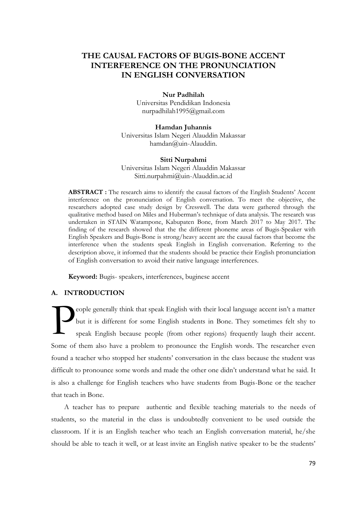# **THE CAUSAL FACTORS OF BUGIS-BONE ACCENT INTERFERENCE ON THE PRONUNCIATION IN ENGLISH CONVERSATION**

## **Nur Padhilah**

Universitas Pendidikan Indonesia [nurpadhilah1995@gmail.com](mailto:nurpadhilah1995@gmail.com)

**Hamdan Juhannis** Universitas Islam Negeri Alauddin Makassar hamdan@uin-Alauddin.

# **Sitti Nurpahmi** Universitas Islam Negeri Alauddin Makassar

Sitti.nurpahmi@uin-Alauddin.ac.id

**ABSTRACT :** The research aims to identify the causal factors of the English Students' Accent interference on the pronunciation of English conversation. To meet the objective, the researchers adopted case study design by Cresswell. The data were gathered through the qualitative method based on Miles and Huberman's technique of data analysis. The research was undertaken in STAIN Watampone, Kabupaten Bone, from March 2017 to May 2017. The finding of the research showed that the the different phoneme areas of Bugis-Speaker with English Speakers and Bugis-Bone is strong/heavy accent are the causal factors that become the interference when the students speak English in English conversation. Referring to the description above, it informed that the students should be practice their English pronunciation of English conversation to avoid their native language interferences.

**Keyword:** Bugis- speakers, interferences, buginese accent

# **A. INTRODUCTION**

eople generally think that speak English with their local language accent isn't a matter but it is different for some English students in Bone. They sometimes felt shy to speak English because people (from other regions) frequently laugh their accent. Some of them also have a problem to pronounce the English words. The researcher even found a teacher who stopped her students' conversation in the class because the student was difficult to pronounce some words and made the other one didn't understand what he said. It is also a challenge for English teachers who have students from Bugis-Bone or the teacher that teach in Bone. P

A teacher has to prepare authentic and flexible teaching materials to the needs of students, so the material in the class is undoubtedly convenient to be used outside the classroom. If it is an English teacher who teach an English conversation material, he/she should be able to teach it well, or at least invite an English native speaker to be the students'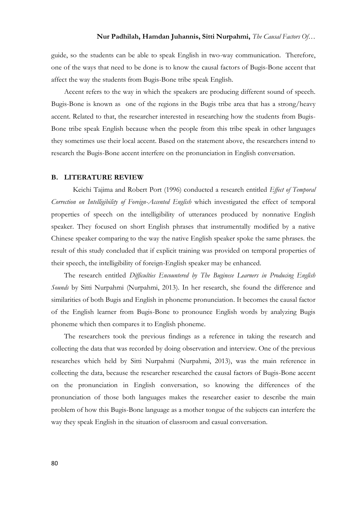## **Nur Padhilah, Hamdan Juhannis, Sitti Nurpahmi,** *The Causal Factors Of…*

guide, so the students can be able to speak English in two-way communication. Therefore, one of the ways that need to be done is to know the causal factors of Bugis-Bone accent that affect the way the students from Bugis-Bone tribe speak English.

Accent refers to the way in which the speakers are producing different sound of speech. Bugis-Bone is known as one of the regions in the Bugis tribe area that has a strong/heavy accent. Related to that, the researcher interested in researching how the students from Bugis-Bone tribe speak English because when the people from this tribe speak in other languages they sometimes use their local accent. Based on the statement above, the researchers intend to research the Bugis-Bone accent interfere on the pronunciation in English conversation.

## **B. LITERATURE REVIEW**

Keichi Tajima and Robert Port (1996) conducted a research entitled *Effect of Temporal Correction on Intelligibility of Foreign-Accented English* which investigated the effect of temporal properties of speech on the intelligibility of utterances produced by nonnative English speaker. They focused on short English phrases that instrumentally modified by a native Chinese speaker comparing to the way the native English speaker spoke the same phrases. the result of this study concluded that if explicit training was provided on temporal properties of their speech, the intelligibility of foreign-English speaker may be enhanced.

The research entitled *Difficulties Encountered by The Buginese Learners in Producing English Sounds* by Sitti Nurpahmi (Nurpahmi, 2013). In her research, she found the difference and similarities of both Bugis and English in phoneme pronunciation. It becomes the causal factor of the English learner from Bugis-Bone to pronounce English words by analyzing Bugis phoneme which then compares it to English phoneme.

The researchers took the previous findings as a reference in taking the research and collecting the data that was recorded by doing observation and interview. One of the previous researches which held by Sitti Nurpahmi (Nurpahmi, 2013), was the main reference in collecting the data, because the researcher researched the causal factors of Bugis-Bone accent on the pronunciation in English conversation, so knowing the differences of the pronunciation of those both languages makes the researcher easier to describe the main problem of how this Bugis-Bone language as a mother tongue of the subjects can interfere the way they speak English in the situation of classroom and casual conversation.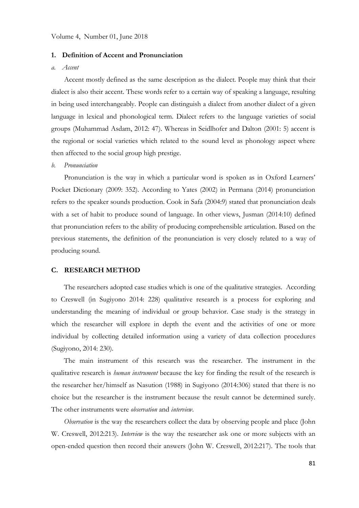### **1. Definition of Accent and Pronunciation**

#### *a. Accent*

Accent mostly defined as the same description as the dialect. People may think that their dialect is also their accent. These words refer to a certain way of speaking a language, resulting in being used interchangeably. People can distinguish a dialect from another dialect of a given language in lexical and phonological term. Dialect refers to the language varieties of social groups (Muhammad Asdam, 2012: 47). Whereas in Seidlhofer and Dalton (2001: 5) accent is the regional or social varieties which related to the sound level as phonology aspect where then affected to the social group high prestige.

#### *b. Pronunciation*

Pronunciation is the way in which a particular word is spoken as in Oxford Learners' Pocket Dictionary (2009: 352). According to Yates (2002) in Permana (2014) pronunciation refers to the speaker sounds production. Cook in Safa (2004:9) stated that pronunciation deals with a set of habit to produce sound of language. In other views, Jusman (2014:10) defined that pronunciation refers to the ability of producing comprehensible articulation. Based on the previous statements, the definition of the pronunciation is very closely related to a way of producing sound.

## **C. RESEARCH METHOD**

The researchers adopted case studies which is one of the qualitative strategies. According to Creswell (in Sugiyono 2014: 228) qualitative research is a process for exploring and understanding the meaning of individual or group behavior. Case study is the strategy in which the researcher will explore in depth the event and the activities of one or more individual by collecting detailed information using a variety of data collection procedures (Sugiyono, 2014: 230).

The main instrument of this research was the researcher. The instrument in the qualitative research is *human instrument* because the key for finding the result of the research is the researcher her/himself as Nasution (1988) in Sugiyono (2014:306) stated that there is no choice but the researcher is the instrument because the result cannot be determined surely. The other instruments were *observation* and *interview*.

*Observation* is the way the researchers collect the data by observing people and place (John W. Creswell, 2012:213). *Interview* is the way the researcher ask one or more subjects with an open-ended question then record their answers (John W. Creswell, 2012:217). The tools that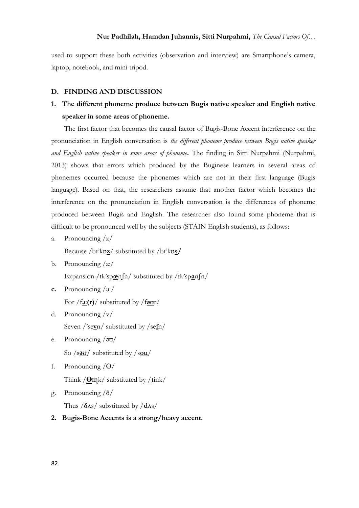# **Nur Padhilah, Hamdan Juhannis, Sitti Nurpahmi,** *The Causal Factors Of…*

used to support these both activities (observation and interview) are Smartphone's camera, laptop, notebook, and mini tripod.

## **D. FINDING AND DISCUSSION**

# **1. The different phoneme produce between Bugis native speaker and English native speaker in some areas of phoneme.**

The first factor that becomes the causal factor of Bugis-Bone Accent interference on the pronunciation in English conversation is *the different phoneme produce between Bugis native speaker and English native speaker in some areas of phoneme***.** The finding in Sitti Nurpahmi (Nurpahmi, 2013) shows that errors which produced by the Buginese learners in several areas of phonemes occurred because the phonemes which are not in their first language (Bugis language). Based on that, the researchers assume that another factor which becomes the interference on the pronunciation in English conversation is the differences of phoneme produced between Bugis and English. The researcher also found some phoneme that is difficult to be pronounced well by the subjects (STAIN English students), as follows:

a. Pronouncing /z/

Because /bɪ'kɒ**z**/ substituted by /bɪ'kɒ**s/**

- b. Pronouncing  $\alpha$ Expansion /ɪk'sp**æ**nʃn/ substituted by /ɪk'sp**a**nʃn/
- **c.** Pronouncing /ͻ:/ For /f**ͻ**:**(r)**/ substituted by /f**ǝƱ**r/
- d. Pronouncing /v/ Seven /'se**v**n/ substituted by /se**f**n/
- e. Pronouncing /əʊ/ So /s**ǝƱ**/ substituted by /s**ou**/
- f. Pronouncing  $/\Theta/$ Think /**ϴ**ɪղk/ substituted by /**t**ink/
- g. Pronouncing /δ/ Thus /**δ**Δs/ substituted by /**d**Δs/
- **2. Bugis-Bone Accents is a strong/heavy accent.**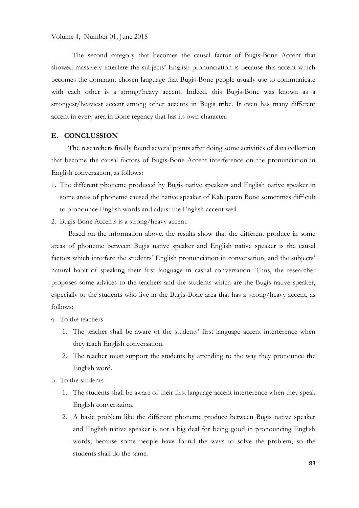The second category that becomes the causal factor of Bugis-Bone Accent that showed massively interfere the subjects' English pronunciation is because this accent which becomes the dominant chosen language that Bugis-Bone people usually use to communicate with each other is a strong/heavy accent. Indeed, this Bugis-Bone was known as a strongest/heaviest accent among other accents in Bugis tribe. It even has many different accent in every area in Bone regency that has its own character.

# **E. CONCLUSSION**

The researchers finally found several points after doing some activities of data collection that become the causal factors of Bugis-Bone Accent interference on the pronunciation in English conversation, as follows:

- 1. The different phoneme produced by Bugis native speakers and English native speaker in some areas of phoneme caused the native speaker of Kabupaten Bone sometimes difficult to pronounce English words and adjust the English accent well.
- 2. Bugis-Bone Accents is a strong/heavy accent.

Based on the information above, the results show that the different produce in some areas of phoneme between Bugis native speaker and English native speaker is the causal factors which interfere the students' English pronunciation in conversation, and the subjects' natural habit of speaking their first language in casual conversation. Thus, the researcher proposes some advices to the teachers and the students which are the Bugis native speaker, especially to the students who live in the Bugis-Bone area that has a strong/heavy accent, as follows:

- a. To the teachers
	- 1. The teacher shall be aware of the students' first language accent interference when they teach English conversation.
	- 2. The teacher must support the students by attending to the way they pronounce the English word.
- b. To the students
	- 1. The students shall be aware of their first language accent interference when they speak English conversation.
	- 2. A basic problem like the different phoneme produce between Bugis native speaker and English native speaker is not a big deal for being good in pronouncing English words, because some people have found the ways to solve the problem, so the students shall do the same.